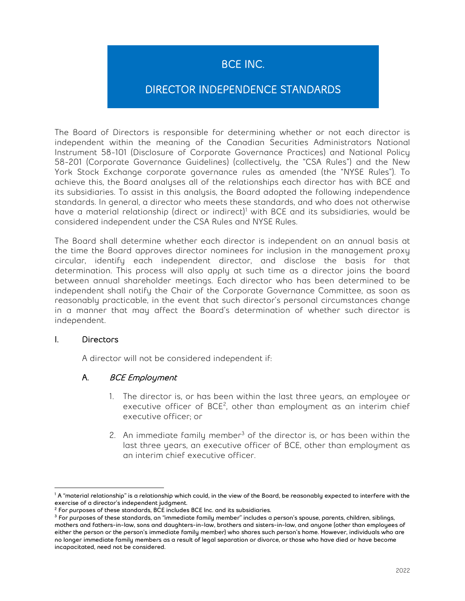# BCE INC.

# DIRECTOR INDEPENDENCE STANDARDS

The Board of Directors is responsible for determining whether or not each director is independent within the meaning of the Canadian Securities Administrators National Instrument 58-101 (Disclosure of Corporate Governance Practices) and National Policy 58-201 (Corporate Governance Guidelines) (collectively, the "CSA Rules") and the New York Stock Exchange corporate governance rules as amended (the "NYSE Rules"). To achieve this, the Board analyses all of the relationships each director has with BCE and its subsidiaries. To assist in this analysis, the Board adopted the following independence standards. In general, a director who meets these standards, and who does not otherwise have a material relationship (direct or indirect)<sup>[1](#page-0-0)</sup> with BCE and its subsidiaries, would be considered independent under the CSA Rules and NYSE Rules.

The Board shall determine whether each director is independent on an annual basis at the time the Board approves director nominees for inclusion in the management proxy circular, identify each independent director, and disclose the basis for that determination. This process will also apply at such time as a director joins the board between annual shareholder meetings. Each director who has been determined to be independent shall notify the Chair of the Corporate Governance Committee, as soon as reasonably practicable, in the event that such director's personal circumstances change in a manner that may affect the Board's determination of whether such director is independent.

### I. Directors

A director will not be considered independent if:

### A. BCE Employment

- 1. The director is, or has been within the last three years, an employee or executive officer of BCE<sup>[2](#page-0-1)</sup>, other than employment as an interim chief executive officer; or
- 2. An immediate family member<sup>[3](#page-0-2)</sup> of the director is, or has been within the last three years, an executive officer of BCE, other than employment as an interim chief executive officer.

<span id="page-0-0"></span>l  $^1$ A "material relationship" is a relationship which could, in the view of the Board, be reasonably expected to interfere with the exercise of a director's independent judgment.

<sup>&</sup>lt;sup>2</sup> For purposes of these standards, BCE includes BCE Inc. and its subsidiaries.

<span id="page-0-2"></span><span id="page-0-1"></span><sup>&</sup>lt;sup>3</sup> For purposes of these standards, an "immediate family member" includes a person's spouse, parents, children, siblings, mothers and fathers-in-law, sons and daughters-in-law, brothers and sisters-in-law, and anyone (other than employees of either the person or the person's immediate family member) who shares such person's home. However, individuals who are no longer immediate family members as a result of legal separation or divorce, or those who have died or have become incapacitated, need not be considered.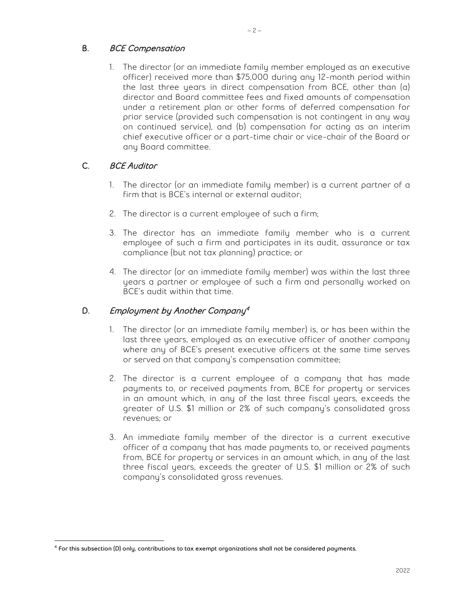## B. BCE Compensation

1. The director (or an immediate family member employed as an executive officer) received more than \$75,000 during any 12-month period within the last three years in direct compensation from BCE, other than (a) director and Board committee fees and fixed amounts of compensation under a retirement plan or other forms of deferred compensation for prior service (provided such compensation is not contingent in any way on continued service), and (b) compensation for acting as an interim chief executive officer or a part-time chair or vice-chair of the Board or any Board committee.

## C. BCE Auditor

- 1. The director (or an immediate family member) is a current partner of a firm that is BCE's internal or external auditor;
- 2. The director is a current employee of such a firm;
- 3. The director has an immediate family member who is a current employee of such a firm and participates in its audit, assurance or tax compliance (but not tax planning) practice; or
- 4. The director (or an immediate family member) was within the last three years a partner or employee of such a firm and personally worked on BCE's audit within that time.

## D. Employment by Another Company<sup>[4](#page-1-0)</sup>

- 1. The director (or an immediate family member) is, or has been within the last three years, employed as an executive officer of another company where any of BCE's present executive officers at the same time serves or served on that company's compensation committee;
- 2. The director is a current employee of a company that has made payments to, or received payments from, BCE for property or services in an amount which, in any of the last three fiscal years, exceeds the greater of U.S. \$1 million or 2% of such company's consolidated gross revenues; or
- 3. An immediate family member of the director is a current executive officer of a company that has made payments to, or received payments from, BCE for property or services in an amount which, in any of the last three fiscal years, exceeds the greater of U.S. \$1 million or 2% of such company's consolidated gross revenues.

<span id="page-1-0"></span>l <sup>4</sup> For this subsection (D) only, contributions to tax exempt organizations shall not be considered payments.